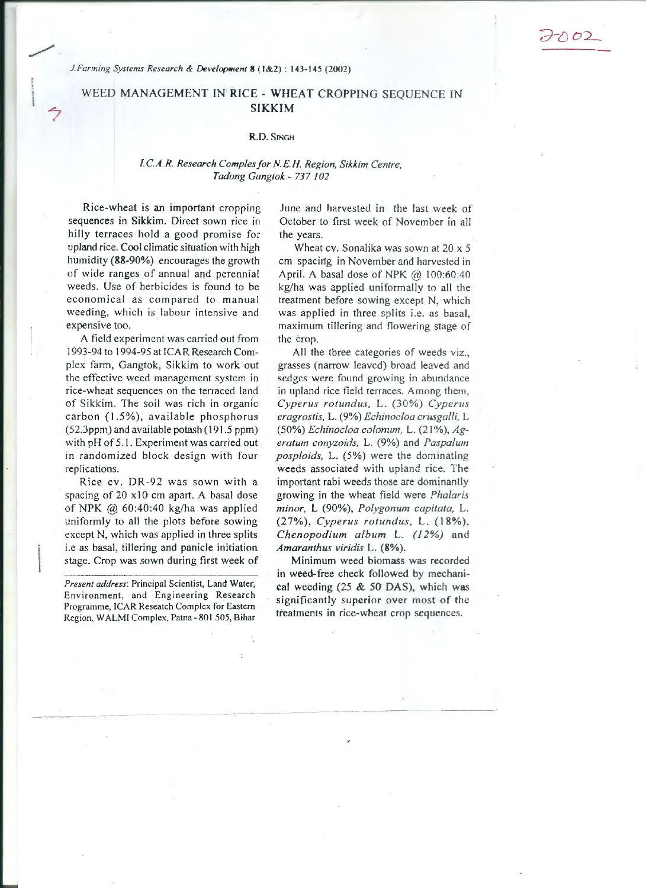*J. Farming Systems Research & Development* 8 (1&2): 143-145 (2002)

## WEED MANAGEMENT IN RICE - WHEAT CROPPING SEQUENCE IN SIKKIM

## R.D. SINGH

## *l.C.A.R. Research Comp/es/or N.E.H. Region, Sikkim Centre, Tadong Gangtok* - *737 102*

Rice-wheat is an important cropping sequences in Sikkim. Direct sown rice in hilly terraces hold a good promise for upland rice. Cool climatic situation *with* high humidity (88-90%) encourages the growth of wide ranges of annual and perennial weeds. Use of herbicides is found to be economical as compared to manual weeding, which is labour intensive and expensive too.

A field experiment was carried out from 1993-94 to 1994-95 at !CAR Research Complex farm, Gangtok, Sikkim to work out the effective weed management system in rice-wheat sequences on the terraced land of Sikkim. The soil was rich in organic carbon (1.5%), available phosphorus (52.3ppm) and available potash ( 191 .5 ppm) with pH of 5.1. Experiment was carried out in randomized block design with four replications.

Rice cv. DR-92 was sown with a spacing of 20 x10 cm apart. A basal dose of NPK @ 60:40:40 kg/ha was applied uniformly to all the plots before sowing except N, which was applied in three splits i.e as basal, tillering and panicle initiation stage. Crop was sown during first week of

*Present address:* Principal Scientist, Land Water, Environment, and Engineering Research Programme, !CAR Reseatch Complex for Eastern Region, WALMI Complex, Patna - 801 505, Bihar

June and harvested in the last week of October to first week of November in all the years.

Wheat cv. Sonalika was sown at 20 x 5 cm spacirtg in November and harvested in April. A basal dose of NPK  $@$  100:60:40 kg/ha was applied uniformally to all the treatment before sowing except N, which was applied in three splits i.e. as basal, maximum tillering and flowering stage of the crop.

All the three categories of weeds viz., grasses (narrow leaved) broad leaved and sedges were found growing in abundance in upland rice field terraces. Among them, *Cyperus rotundus,* L. (30%) *Cyperus eragrostis.* L. (9%) *Echinocloa crusgalli,* L (50%) *Echinocloa colonum,* L. (21 %), *Ageratum conyzoids,* L. (9%) and *Paspalum posploids,* L. (5%) were the dominating weeds associated with upland rice. The important rabi weeds those are dominantly growing in the wheat field were *Phalaris minor, L (90%), Polygonum capitata, L.* (27%), *Cyperus rotundus,* L. (18%), *Chenopodium album* L. *(12%)* .and *Amaranthus viridis* L. (8%).

Minimum weed biomass was recorded in weed-free check followed by mechanical weeding  $(25 \& 50$  DAS), which was significantly superior over most of the treatments in rice-wheat crop sequences.

 $\ddot{\phantom{a}}$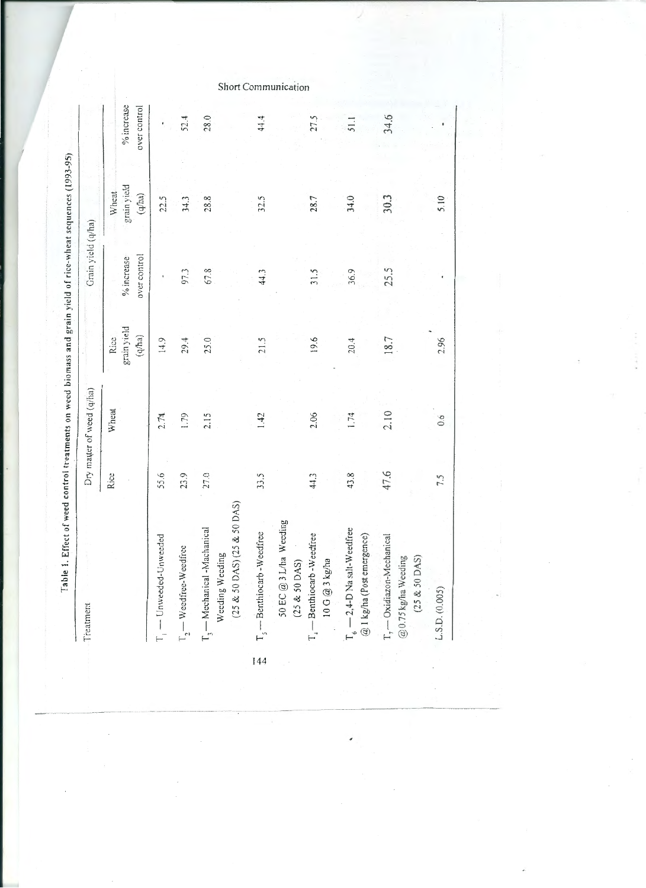| Treatment                                                                                                      |      | Dry matter of weed (q/ha) |                                 | Grain yield (q/ha)         |                                |                            |
|----------------------------------------------------------------------------------------------------------------|------|---------------------------|---------------------------------|----------------------------|--------------------------------|----------------------------|
|                                                                                                                | Rice | Wheat                     | grain yield<br>$(q$ ha)<br>Rice | over control<br>% increase | grain yield<br>Wheat<br>(q/ha) | % increase<br>over control |
| I — Unweeded-Unweeded                                                                                          | 55.6 | 2.74                      | 14.9                            |                            | 22.5                           |                            |
| $\rm T_2-Weedfree-Weedfree$                                                                                    | 23.9 | 1.79                      | 29.4                            | 97.3                       | 34.3                           | 52.4                       |
| $(25 \& 50 \text{ DAS}) (25 \& 50 \text{ DAS})$<br>$\rm T_{\rm j}$ — Mechanical -Machanical<br>Weeding Weeding | 27.0 | 2.15                      | 25.0                            | 67.8                       | 28.8                           | 28.0                       |
| $\rm T_s$ — Benthiocarb - Weedfree                                                                             | 33.5 | 1.42                      | 21.5                            | 44.3                       | 32.5                           | 44.4                       |
| 50 EC @ 3 L/ha Weeding<br>$T_4$ - Benthiocarb-Weedfree<br>10G @ 3 kg/ha<br>$(25 \& 50$ DAS)                    | 44.3 | 2.06                      | 19.6                            | 31.5                       | 28.7                           | 27.5                       |
| $\rm T_{\rm e}$ — 2,4-D Na salt-Weedfree<br>$@$ 1 kg/ha (Post emergence)                                       | 43.8 | 1.74                      | 20.4                            | 36.9                       | 34.0                           | 51.1                       |
| T <sub>7</sub> - Oxidiazon-Mechanical<br>@0.75 kg/ha Weeding<br>$(25 & 50$ DAS)                                | 47.6 | 2.10                      | 18.7                            | 25.5                       | 30.3                           | 34.6                       |
| L.S.D. (0.005)                                                                                                 | 7.5  | 0.6                       | 2.96                            |                            | 5.10                           |                            |
|                                                                                                                |      |                           |                                 |                            |                                |                            |

144

Communication